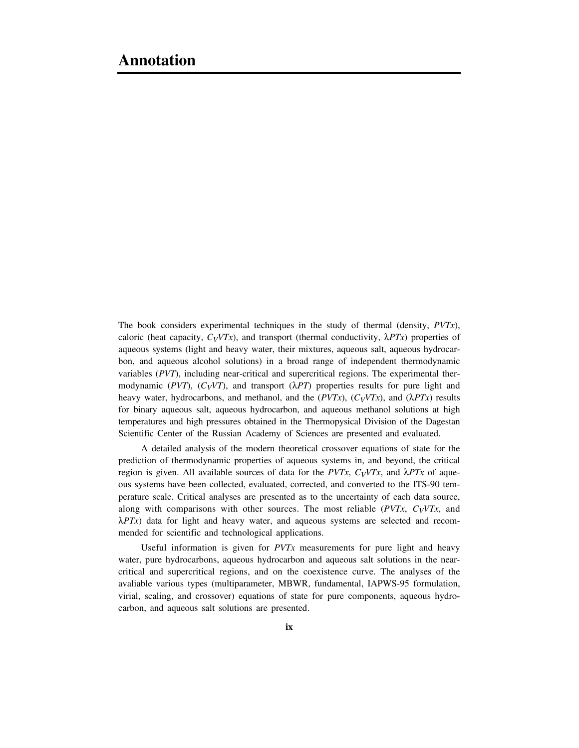The book considers experimental techniques in the study of thermal (density, *PVTx*), caloric (heat capacity,  $C_VVTx$ ), and transport (thermal conductivity,  $\lambda PTx$ ) properties of aqueous systems (light and heavy water, their mixtures, aqueous salt, aqueous hydrocarbon, and aqueous alcohol solutions) in a broad range of independent thermodynamic variables (*PVT*), including near-critical and supercritical regions. The experimental thermodynamic ( $PVT$ ),  $(C_VVT)$ , and transport ( $\lambda PT$ ) properties results for pure light and heavy water, hydrocarbons, and methanol, and the  $(PVTx)$ ,  $(C_VVTx)$ , and  $(\lambda PTx)$  results for binary aqueous salt, aqueous hydrocarbon, and aqueous methanol solutions at high temperatures and high pressures obtained in the Thermopysical Division of the Dagestan Scientific Center of the Russian Academy of Sciences are presented and evaluated.

A detailed analysis of the modern theoretical crossover equations of state for the prediction of thermodynamic properties of aqueous systems in, and beyond, the critical region is given. All available sources of data for the  $PVTx$ ,  $C_VVTx$ , and  $\lambda PTx$  of aqueous systems have been collected, evaluated, corrected, and converted to the ITS-90 temperature scale. Critical analyses are presented as to the uncertainty of each data source, along with comparisons with other sources. The most reliable  $(PVTx, C_VVTx,$  and  $\lambda$ *PTx*) data for light and heavy water, and aqueous systems are selected and recommended for scientific and technological applications.

Useful information is given for *PVTx* measurements for pure light and heavy water, pure hydrocarbons, aqueous hydrocarbon and aqueous salt solutions in the nearcritical and supercritical regions, and on the coexistence curve. The analyses of the avaliable various types (multiparameter, MBWR, fundamental, IAPWS-95 formulation, virial, scaling, and crossover) equations of state for pure components, aqueous hydrocarbon, and aqueous salt solutions are presented.